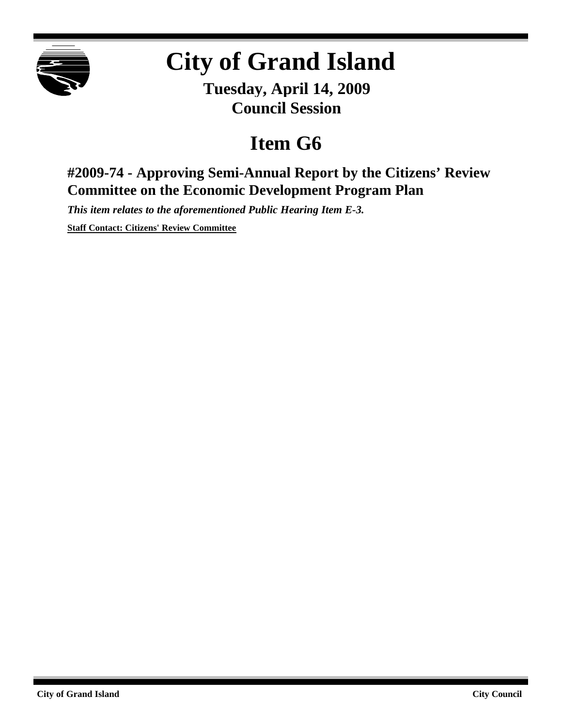

## **City of Grand Island**

**Tuesday, April 14, 2009 Council Session**

## **Item G6**

## **#2009-74 - Approving Semi-Annual Report by the Citizens' Review Committee on the Economic Development Program Plan**

*This item relates to the aforementioned Public Hearing Item E-3.*

**Staff Contact: Citizens' Review Committee**